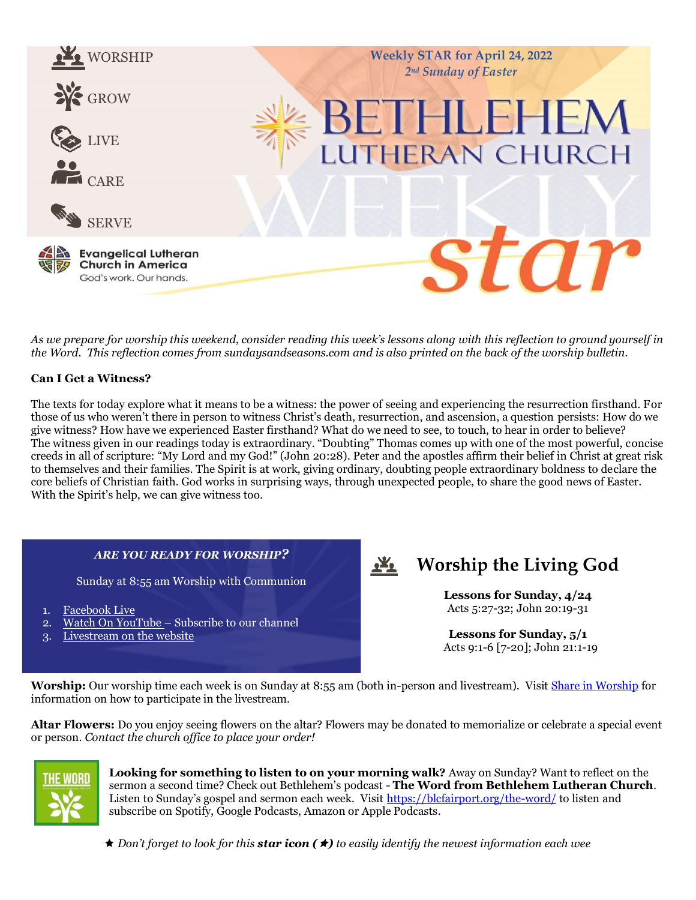

*As we prepare for worship this weekend, consider reading this week's lessons along with this reflection to ground yourself in the Word. This reflection comes from sundaysandseasons.com and is also printed on the back of the worship bulletin.* 

#### **Can I Get a Witness?**

The texts for today explore what it means to be a witness: the power of seeing and experiencing the resurrection firsthand. For those of us who weren't there in person to witness Christ's death, resurrection, and ascension, a question persists: How do we give witness? How have we experienced Easter firsthand? What do we need to see, to touch, to hear in order to believe? The witness given in our readings today is extraordinary. "Doubting" Thomas comes up with one of the most powerful, concise creeds in all of scripture: "My Lord and my God!" (John 20:28). Peter and the apostles affirm their belief in Christ at great risk to themselves and their families. The Spirit is at work, giving ordinary, doubting people extraordinary boldness to declare the core beliefs of Christian faith. God works in surprising ways, through unexpected people, to share the good news of Easter. With the Spirit's help, we can give witness too.

#### *ARE YOU READY FOR WORSHIP?*

Sunday at 8:55 am Worship with Communion

- 1. [Facebook Live](https://www.facebook.com/watch/BLCfairport/)
- [Watch On YouTube](https://www.youtube.com/channel/UCDLJeoQTtrc6wjobxyZ3JyQ/featured) Subscribe to our channel
- 3. [Livestream on the website](https://blcfairport.org/livestream/)

#### $\mathbf{r}$ **Worship the Living God**

**Lessons for Sunday, 4/24** Acts 5:27-32; John 20:19-31

**Lessons for Sunday, 5/1** Acts 9:1-6 [7-20]; John 21:1-19

**Worship:** Our worship time each week is on Sunday at 8:55 am (both in-person and livestream). Visit [Share in Worship](https://blcfairport.org/share-in-worship/) for information on how to participate in the livestream.

**Altar Flowers:** Do you enjoy seeing flowers on the altar? Flowers may be donated to memorialize or celebrate a special event or person. *Contact the church office to place your order!*



**Looking for something to listen to on your morning walk?** Away on Sunday? Want to reflect on the sermon a second time? Check out Bethlehem's podcast - **The Word from Bethlehem Lutheran Church**. Listen to Sunday's gospel and sermon each week. Visit <https://blcfairport.org/the-word/> to listen and subscribe on Spotify, Google Podcasts, Amazon or Apple Podcasts.

 $\star$  Don't forget to look for this **star icon (** $\star$ **)** to easily identify the newest information each wee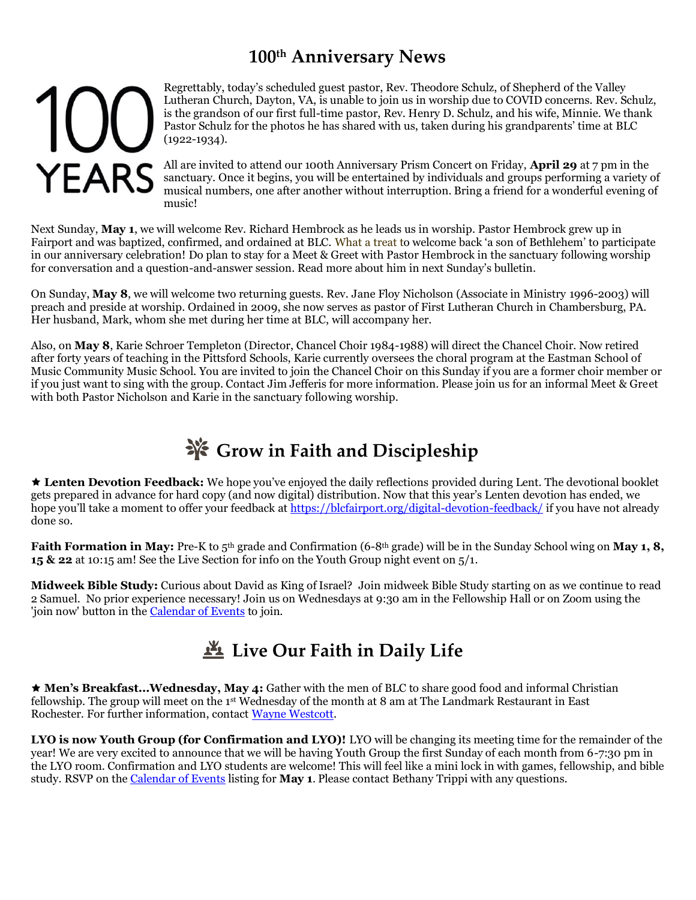# **100th Anniversary News**

# 100 **YEARS**

Regrettably, today's scheduled guest pastor, Rev. Theodore Schulz, of Shepherd of the Valley Lutheran Church, Dayton, VA, is unable to join us in worship due to COVID concerns. Rev. Schulz, is the grandson of our first full-time pastor, Rev. Henry D. Schulz, and his wife, Minnie. We thank Pastor Schulz for the photos he has shared with us, taken during his grandparents' time at BLC (1922-1934).

All are invited to attend our 100th Anniversary Prism Concert on Friday, **April 29** at 7 pm in the sanctuary. Once it begins, you will be entertained by individuals and groups performing a variety of musical numbers, one after another without interruption. Bring a friend for a wonderful evening of music!

Next Sunday, **May 1**, we will welcome Rev. Richard Hembrock as he leads us in worship. Pastor Hembrock grew up in Fairport and was baptized, confirmed, and ordained at BLC. What a treat to welcome back 'a son of Bethlehem' to participate in our anniversary celebration! Do plan to stay for a Meet & Greet with Pastor Hembrock in the sanctuary following worship for conversation and a question-and-answer session. Read more about him in next Sunday's bulletin.

On Sunday, **May 8**, we will welcome two returning guests. Rev. Jane Floy Nicholson (Associate in Ministry 1996-2003) will preach and preside at worship. Ordained in 2009, she now serves as pastor of First Lutheran Church in Chambersburg, PA. Her husband, Mark, whom she met during her time at BLC, will accompany her.

Also, on **May 8**, Karie Schroer Templeton (Director, Chancel Choir 1984-1988) will direct the Chancel Choir. Now retired after forty years of teaching in the Pittsford Schools, Karie currently oversees the choral program at the Eastman School of Music Community Music School. You are invited to join the Chancel Choir on this Sunday if you are a former choir member or if you just want to sing with the group. Contact Jim Jefferis for more information. Please join us for an informal Meet & Greet with both Pastor Nicholson and Karie in the sanctuary following worship.

# **Grow in Faith and Discipleship**

 **Lenten Devotion Feedback:** We hope you've enjoyed the daily reflections provided during Lent. The devotional booklet gets prepared in advance for hard copy (and now digital) distribution. Now that this year's Lenten devotion has ended, we hope you'll take a moment to offer your feedback a[t https://blcfairport.org/digital-devotion-feedback/](https://blcfairport.org/digital-devotion-feedback/) if you have not already done so.

**Faith Formation in May:** Pre-K to 5<sup>th</sup> grade and Confirmation (6-8<sup>th</sup> grade) will be in the Sunday School wing on **May 1, 8, 15 & 22** at 10:15 am! See the Live Section for info on the Youth Group night event on 5/1.

**Midweek Bible Study:** Curious about David as King of Israel? Join midweek Bible Study starting on as we continue to read 2 Samuel. No prior experience necessary! Join us on Wednesdays at 9:30 am in the Fellowship Hall or on Zoom using the 'join now' button in the [Calendar of Events](https://blcfairport.org/event-directory/) to join.

# **Live Our Faith in Daily Life**

 **Men's Breakfast...Wednesday, May 4:** Gather with the men of BLC to share good food and informal Christian fellowship. The group will meet on the 1st Wednesday of the month at 8 am at The Landmark Restaurant in East Rochester. For further information, contact [Wayne Westcott.](mailto:wcubed52@gmail.com)

**LYO is now Youth Group (for Confirmation and LYO)!** LYO will be changing its meeting time for the remainder of the year! We are very excited to announce that we will be having Youth Group the first Sunday of each month from 6-7:30 pm in the LYO room. Confirmation and LYO students are welcome! This will feel like a mini lock in with games, fellowship, and bible study. RSVP on th[e Calendar of Events](https://blcfairport.org/event-directory/) listing for **May 1**. Please contact Bethany Trippi with any questions.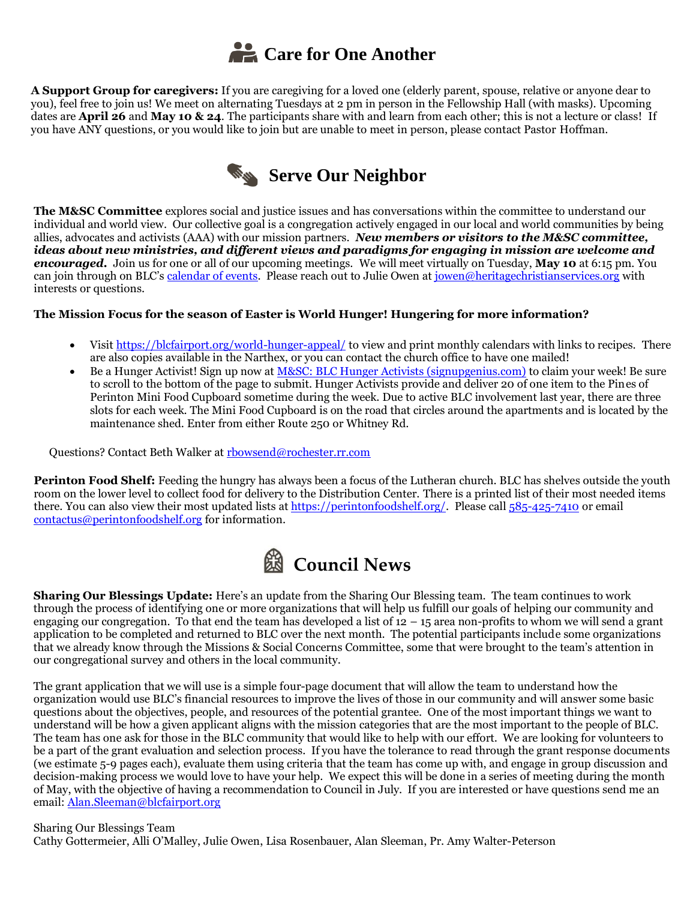

**A Support Group for caregivers:** If you are caregiving for a loved one (elderly parent, spouse, relative or anyone dear to you), feel free to join us! We meet on alternating Tuesdays at 2 pm in person in the Fellowship Hall (with masks). Upcoming dates are **April 26** and **May 10 & 24**. The participants share with and learn from each other; this is not a lecture or class! If you have ANY questions, or you would like to join but are unable to meet in person, please contact Pastor Hoffman.



**The M&SC Committee** explores social and justice issues and has conversations within the committee to understand our individual and world view. Our collective goal is a congregation actively engaged in our local and world communities by being allies, advocates and activists (AAA) with our mission partners. *New members or visitors to the M&SC committee, ideas about new ministries, and different views and paradigms for engaging in mission are welcome and encouraged.* Join us for one or all of our upcoming meetings. We will meet virtually on Tuesday, **May 10** at 6:15 pm. You can join through on BLC's [calendar of events.](https://blcfairport.org/event-directory/) Please reach out to Julie Owen a[t jowen@heritagechristianservices.org](mailto:jowen@heritagechristianservices.org) with interests or questions.

#### **The Mission Focus for the season of Easter is World Hunger! Hungering for more information?**

- Visit<https://blcfairport.org/world-hunger-appeal/> to view and print monthly calendars with links to recipes. There are also copies available in the Narthex, or you can contact the church office to have one mailed!
- Be a Hunger Activist! Sign up now a[t M&SC: BLC Hunger Activists \(signupgenius.com\)](https://clicks.aweber.com/y/ct/?l=9KQDh&m=hIZlnLNUW5stfDs&b=tlrqv2mCC0Ks2d0PZBrCYg) to claim your week! Be sure to scroll to the bottom of the page to submit. Hunger Activists provide and deliver 20 of one item to the Pines of Perinton Mini Food Cupboard sometime during the week. Due to active BLC involvement last year, there are three slots for each week. The Mini Food Cupboard is on the road that circles around the apartments and is located by the maintenance shed. Enter from either Route 250 or Whitney Rd.

Questions? Contact Beth Walker a[t rbowsend@rochester.rr.com](mailto:rbowsend@rochester.rr.com)

**Perinton Food Shelf:** Feeding the hungry has always been a focus of the Lutheran church. BLC has shelves outside the youth room on the lower level to collect food for delivery to the Distribution Center. There is a printed list of their most needed items there. You can also view their most updated lists at [https://perintonfoodshelf.org/.](https://perintonfoodshelf.org/) Please call [585-425-7410](tel:585-425-7410) or email [contactus@perintonfoodshelf.org](mailto:contactus@perintonfoodshelf.org) for information.

![](_page_2_Picture_9.jpeg)

**Sharing Our Blessings Update:** Here's an update from the Sharing Our Blessing team. The team continues to work through the process of identifying one or more organizations that will help us fulfill our goals of helping our community and engaging our congregation. To that end the team has developed a list of  $12 - 15$  area non-profits to whom we will send a grant application to be completed and returned to BLC over the next month. The potential participants include some organizations that we already know through the Missions & Social Concerns Committee, some that were brought to the team's attention in our congregational survey and others in the local community.

The grant application that we will use is a simple four-page document that will allow the team to understand how the organization would use BLC's financial resources to improve the lives of those in our community and will answer some basic questions about the objectives, people, and resources of the potential grantee. One of the most important things we want to understand will be how a given applicant aligns with the mission categories that are the most important to the people of BLC. The team has one ask for those in the BLC community that would like to help with our effort. We are looking for volunteers to be a part of the grant evaluation and selection process. If you have the tolerance to read through the grant response documents (we estimate 5-9 pages each), evaluate them using criteria that the team has come up with, and engage in group discussion and decision-making process we would love to have your help. We expect this will be done in a series of meeting during the month of May, with the objective of having a recommendation to Council in July. If you are interested or have questions send me an email: [Alan.Sleeman@blcfairport.org](mailto:Alan.Sleeman@blcfairport.org)

Sharing Our Blessings Team Cathy Gottermeier, Alli O'Malley, Julie Owen, Lisa Rosenbauer, Alan Sleeman, Pr. Amy Walter-Peterson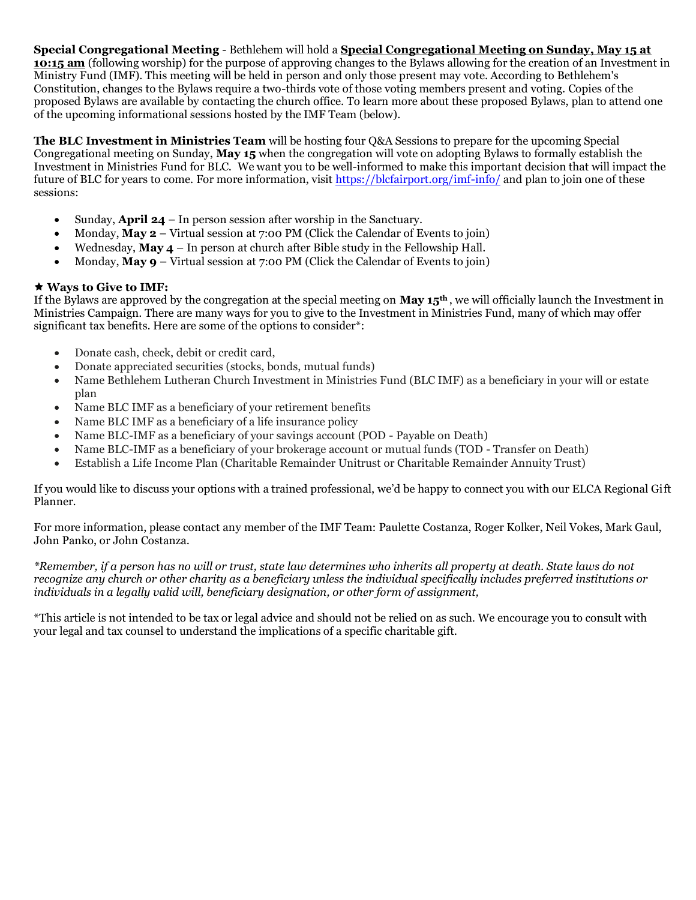**Special Congregational Meeting** - Bethlehem will hold a **Special Congregational Meeting on Sunday, May 15 at 10:15 am** (following worship) for the purpose of approving changes to the Bylaws allowing for the creation of an Investment in Ministry Fund (IMF). This meeting will be held in person and only those present may vote. According to Bethlehem's Constitution, changes to the Bylaws require a two-thirds vote of those voting members present and voting. Copies of the proposed Bylaws are available by contacting the church office. To learn more about these proposed Bylaws, plan to attend one of the upcoming informational sessions hosted by the IMF Team (below).

**The BLC Investment in Ministries Team** will be hosting four Q&A Sessions to prepare for the upcoming Special Congregational meeting on Sunday, **May 15** when the congregation will vote on adopting Bylaws to formally establish the Investment in Ministries Fund for BLC. We want you to be well-informed to make this important decision that will impact the future of BLC for years to come. For more information, visit<https://blcfairport.org/imf-info/> and plan to join one of these sessions:

- Sunday, **April 24** In person session after worship in the Sanctuary.
- Monday, **May 2** Virtual session at 7:00 PM (Click the Calendar of Events to join)
- Wednesday, **May 4** In person at church after Bible study in the Fellowship Hall.
- Monday, **May 9** Virtual session at 7:00 PM (Click the Calendar of Events to join)

#### **Ways to Give to IMF:**

If the Bylaws are approved by the congregation at the special meeting on **May 15th** , we will officially launch the Investment in Ministries Campaign. There are many ways for you to give to the Investment in Ministries Fund, many of which may offer significant tax benefits. Here are some of the options to consider\*:

- Donate cash, check, debit or credit card,
- Donate appreciated securities (stocks, bonds, mutual funds)
- Name Bethlehem Lutheran Church Investment in Ministries Fund (BLC IMF) as a beneficiary in your will or estate plan
- Name BLC IMF as a beneficiary of your retirement benefits
- Name BLC IMF as a beneficiary of a life insurance policy
- Name BLC-IMF as a beneficiary of your savings account (POD Payable on Death)
- Name BLC-IMF as a beneficiary of your brokerage account or mutual funds (TOD Transfer on Death)
- Establish a Life Income Plan (Charitable Remainder Unitrust or Charitable Remainder Annuity Trust)

If you would like to discuss your options with a trained professional, we'd be happy to connect you with our ELCA Regional Gift Planner.

For more information, please contact any member of the IMF Team: Paulette Costanza, Roger Kolker, Neil Vokes, Mark Gaul, John Panko, or John Costanza.

*\*Remember, if a person has no will or trust, state law determines who inherits all property at death. State laws do not recognize any church or other charity as a beneficiary unless the individual specifically includes preferred institutions or individuals in a legally valid will, beneficiary designation, or other form of assignment,*

\*This article is not intended to be tax or legal advice and should not be relied on as such. We encourage you to consult with your legal and tax counsel to understand the implications of a specific charitable gift.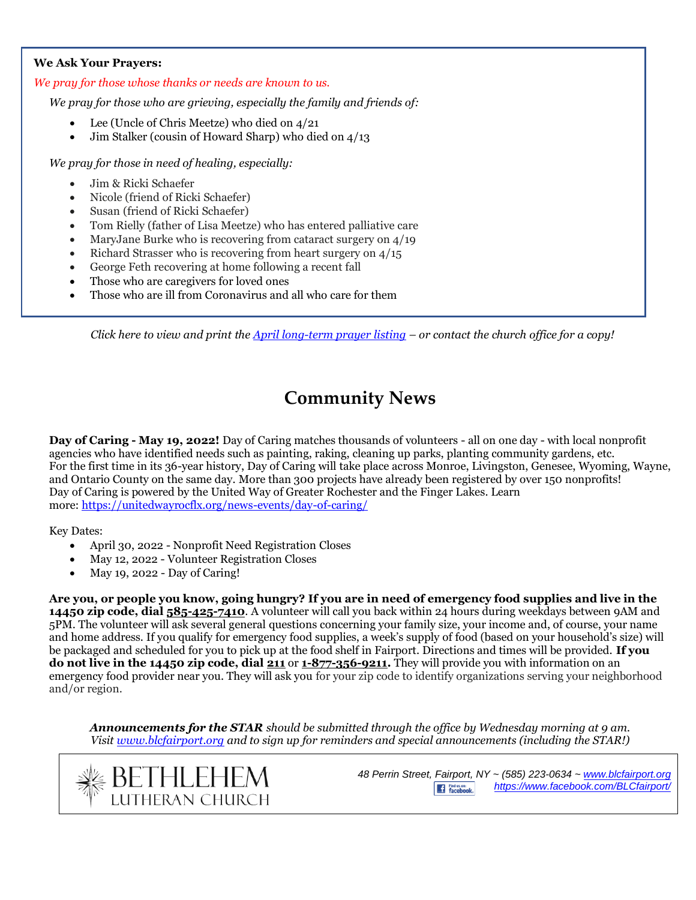#### **We Ask Your Prayers:**

#### *We pray for those whose thanks or needs are known to us.*

*We pray for those who are grieving, especially the family and friends of:*

- Lee (Uncle of Chris Meetze) who died on 4/21
- Jim Stalker (cousin of Howard Sharp) who died on  $4/13$

*We pray for those in need of healing, especially:* 

- Jim & Ricki Schaefer
- Nicole (friend of Ricki Schaefer)
- Susan (friend of Ricki Schaefer)
- Tom Rielly (father of Lisa Meetze) who has entered palliative care
- MaryJane Burke who is recovering from cataract surgery on 4/19
- Richard Strasser who is recovering from heart surgery on  $4/15$
- George Feth recovering at home following a recent fall
- Those who are caregivers for loved ones
- Those who are ill from Coronavirus and all who care for them

*Click here to view and print the April [long-term prayer listing](https://blcfairport.org/wp-content/uploads/2022/03/2022-April-Prayer-list.pdf) – or contact the church office for a copy!*

# **Community News**

**Day of Caring - May 19, 2022!** Day of Caring matches thousands of volunteers - all on one day - with local nonprofit agencies who have identified needs such as painting, raking, cleaning up parks, planting community gardens, etc. For the first time in its 36-year history, Day of Caring will take place across Monroe, Livingston, Genesee, Wyoming, Wayne, and Ontario County on the same day. More than 300 projects have already been registered by over 150 nonprofits! Day of Caring is powered by the United Way of Greater Rochester and the Finger Lakes. Learn more: <https://unitedwayrocflx.org/news-events/day-of-caring/>

Key Dates:

- April 30, 2022 Nonprofit Need Registration Closes
- May 12, 2022 Volunteer Registration Closes
- May 19, 2022 Day of Caring!

**Are you, or people you know, going hungry? If you are in need of emergency food supplies and live in the 14450 zip code, dial [585-425-7410](tel:585-425-7410)**. A volunteer will call you back within 24 hours during weekdays between 9AM and 5PM. The volunteer will ask several general questions concerning your family size, your income and, of course, your name and home address. If you qualify for emergency food supplies, a week's supply of food (based on your household's size) will be packaged and scheduled for you to pick up at the food shelf in Fairport. Directions and times will be provided. **If you do not live in the 14450 zip code, dial [211](tel:211)** or **[1-877-356-9211.](tel:877-356-9211)** They will provide you with information on an emergency food provider near you. They will ask you for your zip code to identify organizations serving your neighborhood and/or region.

*Announcements for the STAR should be submitted through the office by Wednesday morning at 9 am. Visi[t www.blcfairport.org](http://www.blcfairport.org/) and to sign up for reminders and special announcements (including the STAR!)*

![](_page_4_Picture_24.jpeg)

*48 Perrin Street, Fairport, NY ~ (585) 223-0634 ~ [www.blcfairport.org](http://www.blcfairport.org/) <https://www.facebook.com/BLCfairport/>*Find us on:<br>
Facebook.